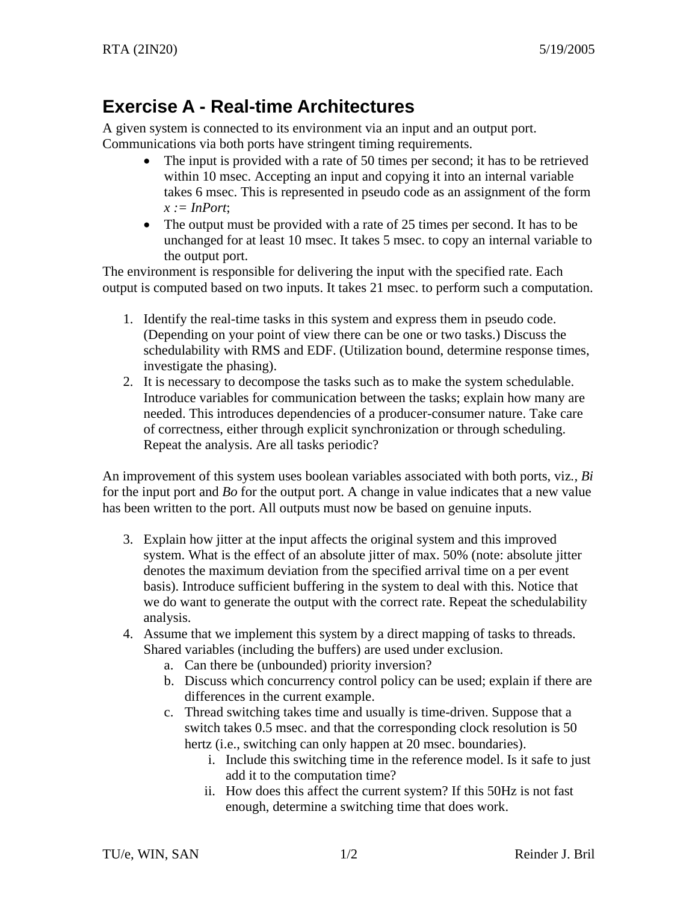## **Exercise A - Real-time Architectures**

A given system is connected to its environment via an input and an output port. Communications via both ports have stringent timing requirements.

- The input is provided with a rate of 50 times per second; it has to be retrieved within 10 msec. Accepting an input and copying it into an internal variable takes 6 msec. This is represented in pseudo code as an assignment of the form  $x := InPort;$
- The output must be provided with a rate of 25 times per second. It has to be unchanged for at least 10 msec. It takes 5 msec. to copy an internal variable to the output port.

The environment is responsible for delivering the input with the specified rate. Each output is computed based on two inputs. It takes 21 msec. to perform such a computation.

- 1. Identify the real-time tasks in this system and express them in pseudo code. (Depending on your point of view there can be one or two tasks.) Discuss the schedulability with RMS and EDF. (Utilization bound, determine response times, investigate the phasing).
- 2. It is necessary to decompose the tasks such as to make the system schedulable. Introduce variables for communication between the tasks; explain how many are needed. This introduces dependencies of a producer-consumer nature. Take care of correctness, either through explicit synchronization or through scheduling. Repeat the analysis. Are all tasks periodic?

An improvement of this system uses boolean variables associated with both ports, viz*., Bi* for the input port and *Bo* for the output port. A change in value indicates that a new value has been written to the port. All outputs must now be based on genuine inputs.

- 3. Explain how jitter at the input affects the original system and this improved system. What is the effect of an absolute jitter of max. 50% (note: absolute jitter denotes the maximum deviation from the specified arrival time on a per event basis). Introduce sufficient buffering in the system to deal with this. Notice that we do want to generate the output with the correct rate. Repeat the schedulability analysis.
- 4. Assume that we implement this system by a direct mapping of tasks to threads. Shared variables (including the buffers) are used under exclusion.
	- a. Can there be (unbounded) priority inversion?
	- b. Discuss which concurrency control policy can be used; explain if there are differences in the current example.
	- c. Thread switching takes time and usually is time-driven. Suppose that a switch takes 0.5 msec. and that the corresponding clock resolution is 50 hertz (*i.e.*, switching can only happen at 20 msec. boundaries).
		- i. Include this switching time in the reference model. Is it safe to just add it to the computation time?
		- ii. How does this affect the current system? If this 50Hz is not fast enough, determine a switching time that does work.